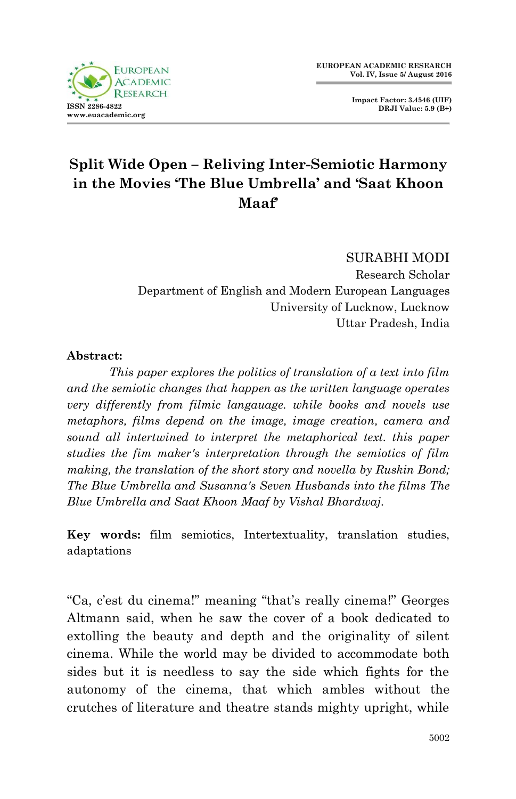**Impact Factor: 3.4546 (UIF) DRJI Value: 5.9 (B+)**



# **Split Wide Open – Reliving Inter-Semiotic Harmony in the Movies 'The Blue Umbrella' and 'Saat Khoon Maaf'**

SURABHI MODI Research Scholar Department of English and Modern European Languages University of Lucknow, Lucknow Uttar Pradesh, India

### **Abstract:**

 *This paper explores the politics of translation of a text into film and the semiotic changes that happen as the written language operates very differently from filmic langauage. while books and novels use metaphors, films depend on the image, image creation, camera and sound all intertwined to interpret the metaphorical text. this paper studies the fim maker's interpretation through the semiotics of film making, the translation of the short story and novella by Ruskin Bond; The Blue Umbrella and Susanna's Seven Husbands into the films The Blue Umbrella and Saat Khoon Maaf by Vishal Bhardwaj.*

**Key words:** film semiotics, Intertextuality, translation studies, adaptations

"Ca, c'est du cinema!" meaning "that's really cinema!" Georges Altmann said, when he saw the cover of a book dedicated to extolling the beauty and depth and the originality of silent cinema. While the world may be divided to accommodate both sides but it is needless to say the side which fights for the autonomy of the cinema, that which ambles without the crutches of literature and theatre stands mighty upright, while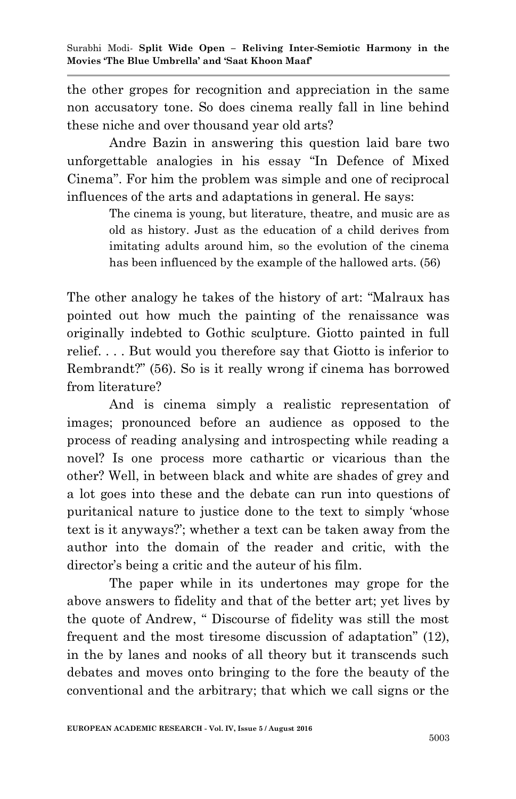the other gropes for recognition and appreciation in the same non accusatory tone. So does cinema really fall in line behind these niche and over thousand year old arts?

Andre Bazin in answering this question laid bare two unforgettable analogies in his essay "In Defence of Mixed Cinema". For him the problem was simple and one of reciprocal influences of the arts and adaptations in general. He says:

> The cinema is young, but literature, theatre, and music are as old as history. Just as the education of a child derives from imitating adults around him, so the evolution of the cinema has been influenced by the example of the hallowed arts. (56)

The other analogy he takes of the history of art: "Malraux has pointed out how much the painting of the renaissance was originally indebted to Gothic sculpture. Giotto painted in full relief. . . . But would you therefore say that Giotto is inferior to Rembrandt?" (56). So is it really wrong if cinema has borrowed from literature?

And is cinema simply a realistic representation of images; pronounced before an audience as opposed to the process of reading analysing and introspecting while reading a novel? Is one process more cathartic or vicarious than the other? Well, in between black and white are shades of grey and a lot goes into these and the debate can run into questions of puritanical nature to justice done to the text to simply "whose text is it anyways?"; whether a text can be taken away from the author into the domain of the reader and critic, with the director"s being a critic and the auteur of his film.

The paper while in its undertones may grope for the above answers to fidelity and that of the better art; yet lives by the quote of Andrew, " Discourse of fidelity was still the most frequent and the most tiresome discussion of adaptation" (12), in the by lanes and nooks of all theory but it transcends such debates and moves onto bringing to the fore the beauty of the conventional and the arbitrary; that which we call signs or the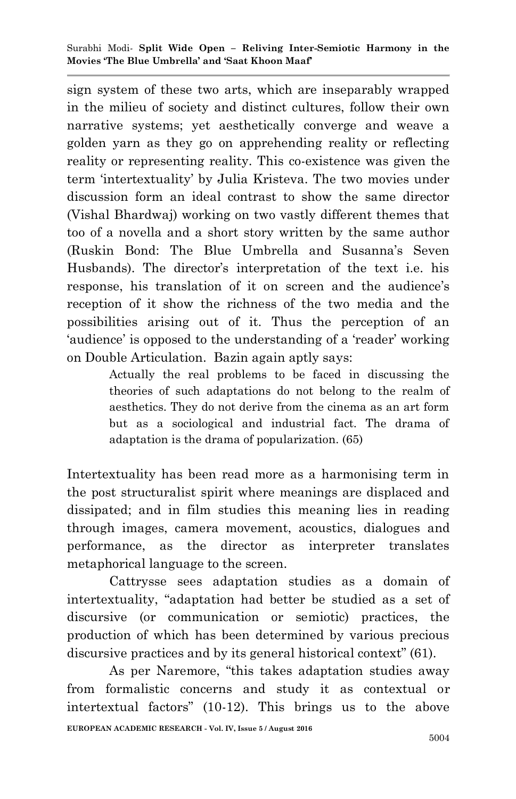sign system of these two arts, which are inseparably wrapped in the milieu of society and distinct cultures, follow their own narrative systems; yet aesthetically converge and weave a golden yarn as they go on apprehending reality or reflecting reality or representing reality. This co-existence was given the term "intertextuality" by Julia Kristeva. The two movies under discussion form an ideal contrast to show the same director (Vishal Bhardwaj) working on two vastly different themes that too of a novella and a short story written by the same author (Ruskin Bond: The Blue Umbrella and Susanna's Seven Husbands). The director's interpretation of the text i.e. his response, his translation of it on screen and the audience's reception of it show the richness of the two media and the possibilities arising out of it. Thus the perception of an 'audience' is opposed to the understanding of a 'reader' working on Double Articulation. Bazin again aptly says:

> Actually the real problems to be faced in discussing the theories of such adaptations do not belong to the realm of aesthetics. They do not derive from the cinema as an art form but as a sociological and industrial fact. The drama of adaptation is the drama of popularization. (65)

Intertextuality has been read more as a harmonising term in the post structuralist spirit where meanings are displaced and dissipated; and in film studies this meaning lies in reading through images, camera movement, acoustics, dialogues and performance, as the director as interpreter translates metaphorical language to the screen.

Cattrysse sees adaptation studies as a domain of intertextuality, "adaptation had better be studied as a set of discursive (or communication or semiotic) practices, the production of which has been determined by various precious discursive practices and by its general historical context" (61).

As per Naremore, "this takes adaptation studies away from formalistic concerns and study it as contextual or intertextual factors" (10-12). This brings us to the above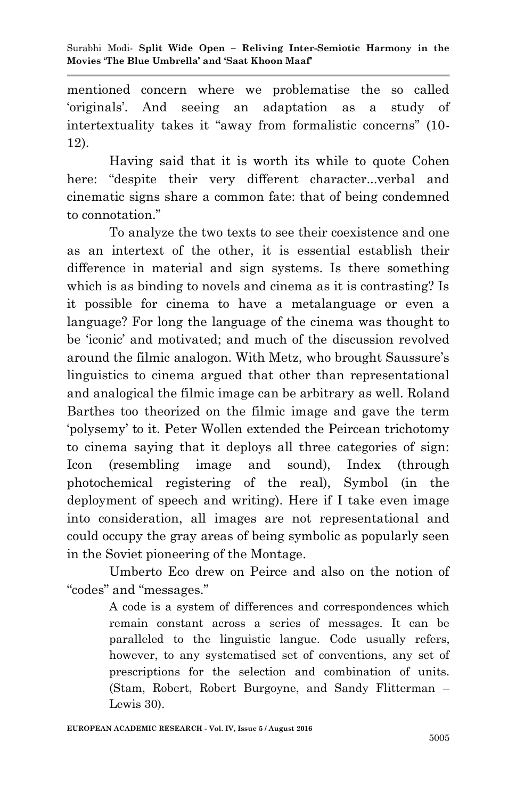mentioned concern where we problematise the so called "originals". And seeing an adaptation as a study of intertextuality takes it "away from formalistic concerns" (10- 12).

Having said that it is worth its while to quote Cohen here: "despite their very different character...verbal and cinematic signs share a common fate: that of being condemned to connotation."

To analyze the two texts to see their coexistence and one as an intertext of the other, it is essential establish their difference in material and sign systems. Is there something which is as binding to novels and cinema as it is contrasting? Is it possible for cinema to have a metalanguage or even a language? For long the language of the cinema was thought to be "iconic" and motivated; and much of the discussion revolved around the filmic analogon. With Metz, who brought Saussure"s linguistics to cinema argued that other than representational and analogical the filmic image can be arbitrary as well. Roland Barthes too theorized on the filmic image and gave the term "polysemy" to it. Peter Wollen extended the Peircean trichotomy to cinema saying that it deploys all three categories of sign: Icon (resembling image and sound), Index (through photochemical registering of the real), Symbol (in the deployment of speech and writing). Here if I take even image into consideration, all images are not representational and could occupy the gray areas of being symbolic as popularly seen in the Soviet pioneering of the Montage.

 Umberto Eco drew on Peirce and also on the notion of "codes" and "messages."

> A code is a system of differences and correspondences which remain constant across a series of messages. It can be paralleled to the linguistic langue. Code usually refers, however, to any systematised set of conventions, any set of prescriptions for the selection and combination of units. (Stam, Robert, Robert Burgoyne, and Sandy Flitterman – Lewis 30).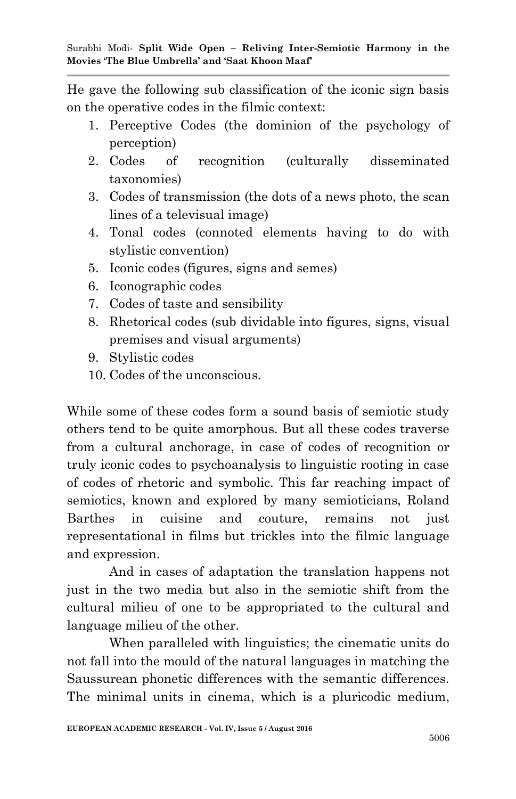He gave the following sub classification of the iconic sign basis on the operative codes in the filmic context:

- 1. Perceptive Codes (the dominion of the psychology of perception)
- 2. Codes of recognition (culturally disseminated taxonomies)
- 3. Codes of transmission (the dots of a news photo, the scan lines of a televisual image)
- 4. Tonal codes (connoted elements having to do with stylistic convention)
- 5. Iconic codes (figures, signs and semes)
- 6. Iconographic codes
- 7. Codes of taste and sensibility
- 8. Rhetorical codes (sub dividable into figures, signs, visual premises and visual arguments)
- 9. Stylistic codes
- 10. Codes of the unconscious.

While some of these codes form a sound basis of semiotic study others tend to be quite amorphous. But all these codes traverse from a cultural anchorage, in case of codes of recognition or truly iconic codes to psychoanalysis to linguistic rooting in case of codes of rhetoric and symbolic. This far reaching impact of semiotics, known and explored by many semioticians, Roland Barthes in cuisine and couture, remains not just representational in films but trickles into the filmic language and expression.

And in cases of adaptation the translation happens not just in the two media but also in the semiotic shift from the cultural milieu of one to be appropriated to the cultural and language milieu of the other.

When paralleled with linguistics; the cinematic units do not fall into the mould of the natural languages in matching the Saussurean phonetic differences with the semantic differences. The minimal units in cinema, which is a pluricodic medium,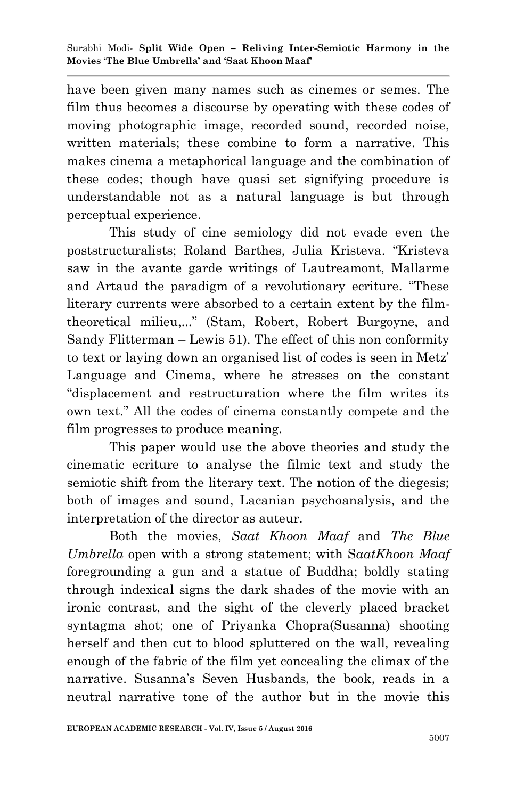have been given many names such as cinemes or semes. The film thus becomes a discourse by operating with these codes of moving photographic image, recorded sound, recorded noise, written materials; these combine to form a narrative. This makes cinema a metaphorical language and the combination of these codes; though have quasi set signifying procedure is understandable not as a natural language is but through perceptual experience.

This study of cine semiology did not evade even the poststructuralists; Roland Barthes, Julia Kristeva. "Kristeva saw in the avante garde writings of Lautreamont, Mallarme and Artaud the paradigm of a revolutionary ecriture. "These literary currents were absorbed to a certain extent by the filmtheoretical milieu,..." (Stam, Robert, Robert Burgoyne, and Sandy Flitterman – Lewis 51). The effect of this non conformity to text or laying down an organised list of codes is seen in Metz" Language and Cinema, where he stresses on the constant "displacement and restructuration where the film writes its own text." All the codes of cinema constantly compete and the film progresses to produce meaning.

This paper would use the above theories and study the cinematic ecriture to analyse the filmic text and study the semiotic shift from the literary text. The notion of the diegesis; both of images and sound, Lacanian psychoanalysis, and the interpretation of the director as auteur.

Both the movies, *Saat Khoon Maaf* and *The Blue Umbrella* open with a strong statement; with S*aatKhoon Maaf*  foregrounding a gun and a statue of Buddha; boldly stating through indexical signs the dark shades of the movie with an ironic contrast, and the sight of the cleverly placed bracket syntagma shot; one of Priyanka Chopra(Susanna) shooting herself and then cut to blood spluttered on the wall, revealing enough of the fabric of the film yet concealing the climax of the narrative. Susanna"s Seven Husbands, the book, reads in a neutral narrative tone of the author but in the movie this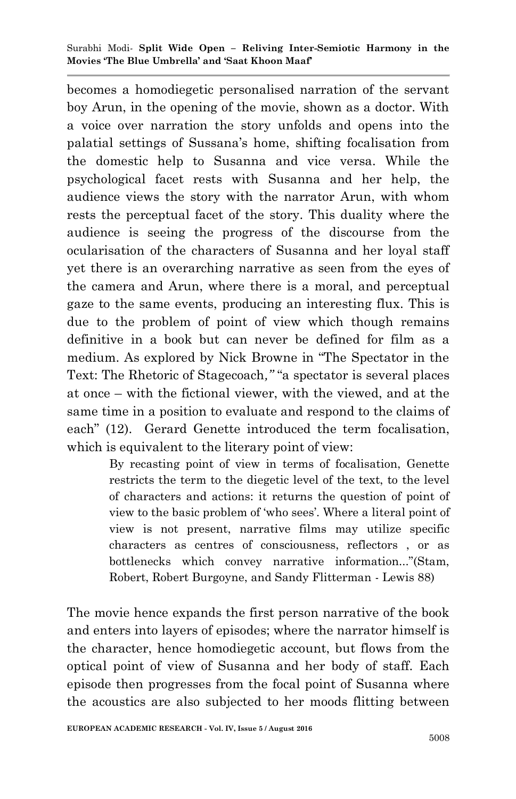becomes a homodiegetic personalised narration of the servant boy Arun, in the opening of the movie, shown as a doctor. With a voice over narration the story unfolds and opens into the palatial settings of Sussana"s home, shifting focalisation from the domestic help to Susanna and vice versa. While the psychological facet rests with Susanna and her help, the audience views the story with the narrator Arun, with whom rests the perceptual facet of the story. This duality where the audience is seeing the progress of the discourse from the ocularisation of the characters of Susanna and her loyal staff yet there is an overarching narrative as seen from the eyes of the camera and Arun, where there is a moral, and perceptual gaze to the same events, producing an interesting flux. This is due to the problem of point of view which though remains definitive in a book but can never be defined for film as a medium. As explored by Nick Browne in "The Spectator in the Text: The Rhetoric of Stagecoach*,"* "a spectator is several places at once – with the fictional viewer, with the viewed, and at the same time in a position to evaluate and respond to the claims of each" (12). Gerard Genette introduced the term focalisation, which is equivalent to the literary point of view:

> By recasting point of view in terms of focalisation, Genette restricts the term to the diegetic level of the text, to the level of characters and actions: it returns the question of point of view to the basic problem of "who sees". Where a literal point of view is not present, narrative films may utilize specific characters as centres of consciousness, reflectors , or as bottlenecks which convey narrative information..."(Stam, Robert, Robert Burgoyne, and Sandy Flitterman - Lewis 88)

The movie hence expands the first person narrative of the book and enters into layers of episodes; where the narrator himself is the character, hence homodiegetic account, but flows from the optical point of view of Susanna and her body of staff. Each episode then progresses from the focal point of Susanna where the acoustics are also subjected to her moods flitting between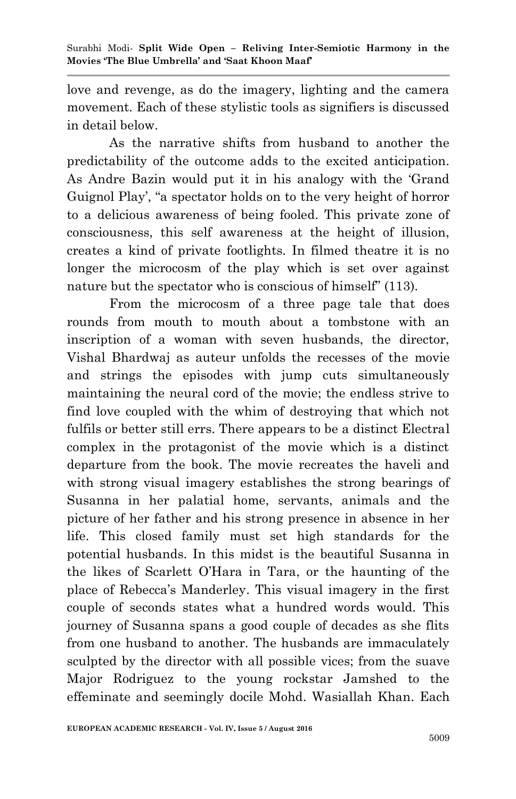love and revenge, as do the imagery, lighting and the camera movement. Each of these stylistic tools as signifiers is discussed in detail below.

As the narrative shifts from husband to another the predictability of the outcome adds to the excited anticipation. As Andre Bazin would put it in his analogy with the "Grand Guignol Play', "a spectator holds on to the very height of horror to a delicious awareness of being fooled. This private zone of consciousness, this self awareness at the height of illusion, creates a kind of private footlights. In filmed theatre it is no longer the microcosm of the play which is set over against nature but the spectator who is conscious of himself" (113).

From the microcosm of a three page tale that does rounds from mouth to mouth about a tombstone with an inscription of a woman with seven husbands, the director, Vishal Bhardwaj as auteur unfolds the recesses of the movie and strings the episodes with jump cuts simultaneously maintaining the neural cord of the movie; the endless strive to find love coupled with the whim of destroying that which not fulfils or better still errs. There appears to be a distinct Electral complex in the protagonist of the movie which is a distinct departure from the book. The movie recreates the haveli and with strong visual imagery establishes the strong bearings of Susanna in her palatial home, servants, animals and the picture of her father and his strong presence in absence in her life. This closed family must set high standards for the potential husbands. In this midst is the beautiful Susanna in the likes of Scarlett O"Hara in Tara, or the haunting of the place of Rebecca"s Manderley. This visual imagery in the first couple of seconds states what a hundred words would. This journey of Susanna spans a good couple of decades as she flits from one husband to another. The husbands are immaculately sculpted by the director with all possible vices; from the suave Major Rodriguez to the young rockstar Jamshed to the effeminate and seemingly docile Mohd. Wasiallah Khan. Each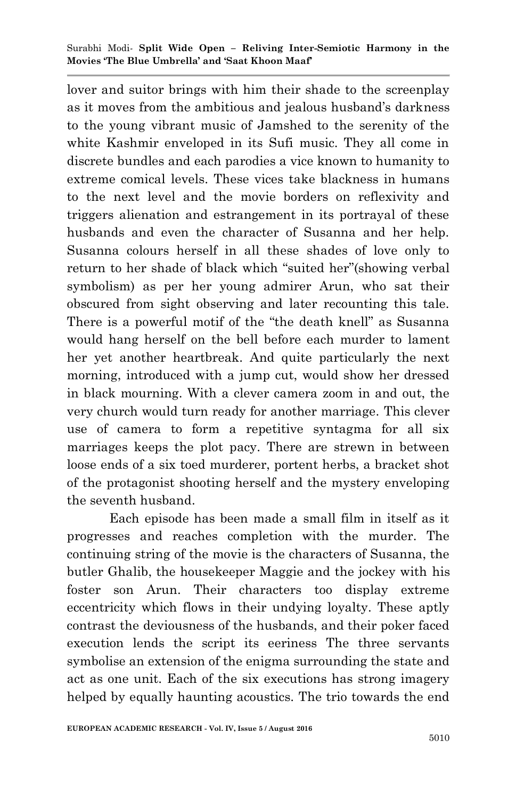lover and suitor brings with him their shade to the screenplay as it moves from the ambitious and jealous husband"s darkness to the young vibrant music of Jamshed to the serenity of the white Kashmir enveloped in its Sufi music. They all come in discrete bundles and each parodies a vice known to humanity to extreme comical levels. These vices take blackness in humans to the next level and the movie borders on reflexivity and triggers alienation and estrangement in its portrayal of these husbands and even the character of Susanna and her help. Susanna colours herself in all these shades of love only to return to her shade of black which "suited her"(showing verbal symbolism) as per her young admirer Arun, who sat their obscured from sight observing and later recounting this tale. There is a powerful motif of the "the death knell" as Susanna would hang herself on the bell before each murder to lament her yet another heartbreak. And quite particularly the next morning, introduced with a jump cut, would show her dressed in black mourning. With a clever camera zoom in and out, the very church would turn ready for another marriage. This clever use of camera to form a repetitive syntagma for all six marriages keeps the plot pacy. There are strewn in between loose ends of a six toed murderer, portent herbs, a bracket shot of the protagonist shooting herself and the mystery enveloping the seventh husband.

Each episode has been made a small film in itself as it progresses and reaches completion with the murder. The continuing string of the movie is the characters of Susanna, the butler Ghalib, the housekeeper Maggie and the jockey with his foster son Arun. Their characters too display extreme eccentricity which flows in their undying loyalty. These aptly contrast the deviousness of the husbands, and their poker faced execution lends the script its eeriness The three servants symbolise an extension of the enigma surrounding the state and act as one unit. Each of the six executions has strong imagery helped by equally haunting acoustics. The trio towards the end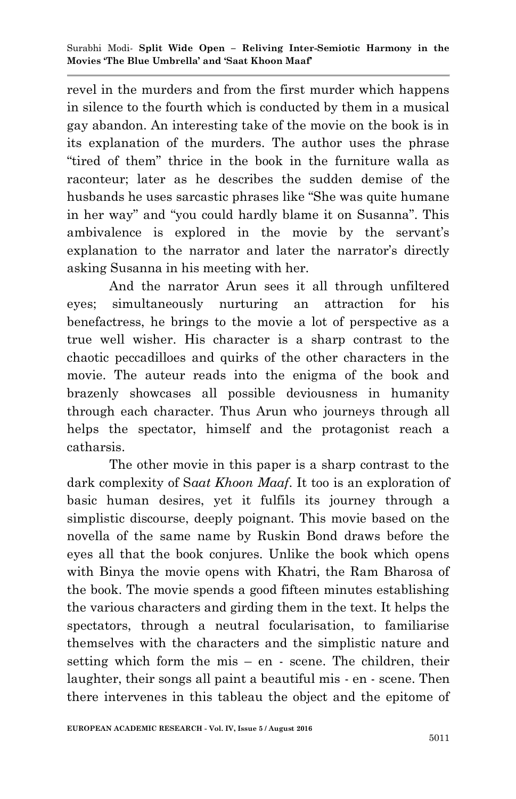revel in the murders and from the first murder which happens in silence to the fourth which is conducted by them in a musical gay abandon. An interesting take of the movie on the book is in its explanation of the murders. The author uses the phrase "tired of them" thrice in the book in the furniture walla as raconteur; later as he describes the sudden demise of the husbands he uses sarcastic phrases like "She was quite humane in her way" and "you could hardly blame it on Susanna". This ambivalence is explored in the movie by the servant's explanation to the narrator and later the narrator's directly asking Susanna in his meeting with her.

And the narrator Arun sees it all through unfiltered eyes; simultaneously nurturing an attraction for his benefactress, he brings to the movie a lot of perspective as a true well wisher. His character is a sharp contrast to the chaotic peccadilloes and quirks of the other characters in the movie. The auteur reads into the enigma of the book and brazenly showcases all possible deviousness in humanity through each character. Thus Arun who journeys through all helps the spectator, himself and the protagonist reach a catharsis.

The other movie in this paper is a sharp contrast to the dark complexity of S*aat Khoon Maaf*. It too is an exploration of basic human desires, yet it fulfils its journey through a simplistic discourse, deeply poignant. This movie based on the novella of the same name by Ruskin Bond draws before the eyes all that the book conjures. Unlike the book which opens with Binya the movie opens with Khatri, the Ram Bharosa of the book. The movie spends a good fifteen minutes establishing the various characters and girding them in the text. It helps the spectators, through a neutral focularisation, to familiarise themselves with the characters and the simplistic nature and setting which form the mis – en - scene. The children, their laughter, their songs all paint a beautiful mis - en - scene. Then there intervenes in this tableau the object and the epitome of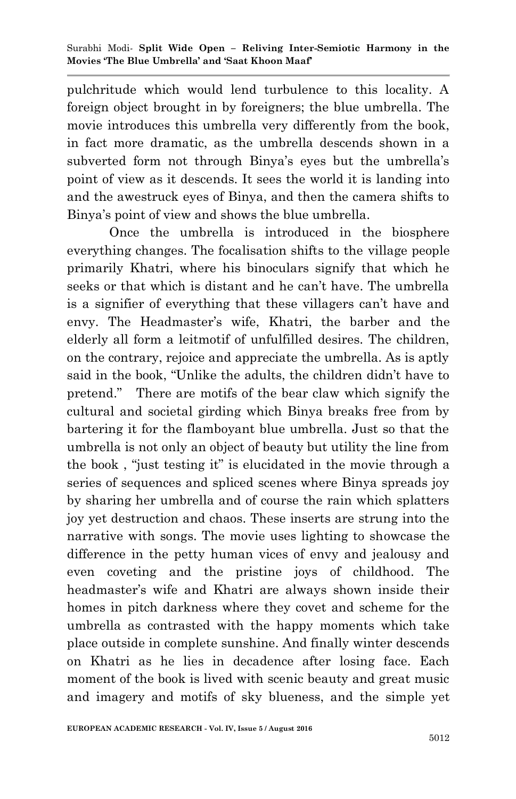pulchritude which would lend turbulence to this locality. A foreign object brought in by foreigners; the blue umbrella. The movie introduces this umbrella very differently from the book, in fact more dramatic, as the umbrella descends shown in a subverted form not through Binya's eyes but the umbrella's point of view as it descends. It sees the world it is landing into and the awestruck eyes of Binya, and then the camera shifts to Binya"s point of view and shows the blue umbrella.

Once the umbrella is introduced in the biosphere everything changes. The focalisation shifts to the village people primarily Khatri, where his binoculars signify that which he seeks or that which is distant and he can"t have. The umbrella is a signifier of everything that these villagers can"t have and envy. The Headmaster's wife, Khatri, the barber and the elderly all form a leitmotif of unfulfilled desires. The children, on the contrary, rejoice and appreciate the umbrella. As is aptly said in the book, "Unlike the adults, the children didn"t have to pretend." There are motifs of the bear claw which signify the cultural and societal girding which Binya breaks free from by bartering it for the flamboyant blue umbrella. Just so that the umbrella is not only an object of beauty but utility the line from the book , "just testing it" is elucidated in the movie through a series of sequences and spliced scenes where Binya spreads joy by sharing her umbrella and of course the rain which splatters joy yet destruction and chaos. These inserts are strung into the narrative with songs. The movie uses lighting to showcase the difference in the petty human vices of envy and jealousy and even coveting and the pristine joys of childhood. The headmaster's wife and Khatri are always shown inside their homes in pitch darkness where they covet and scheme for the umbrella as contrasted with the happy moments which take place outside in complete sunshine. And finally winter descends on Khatri as he lies in decadence after losing face. Each moment of the book is lived with scenic beauty and great music and imagery and motifs of sky blueness, and the simple yet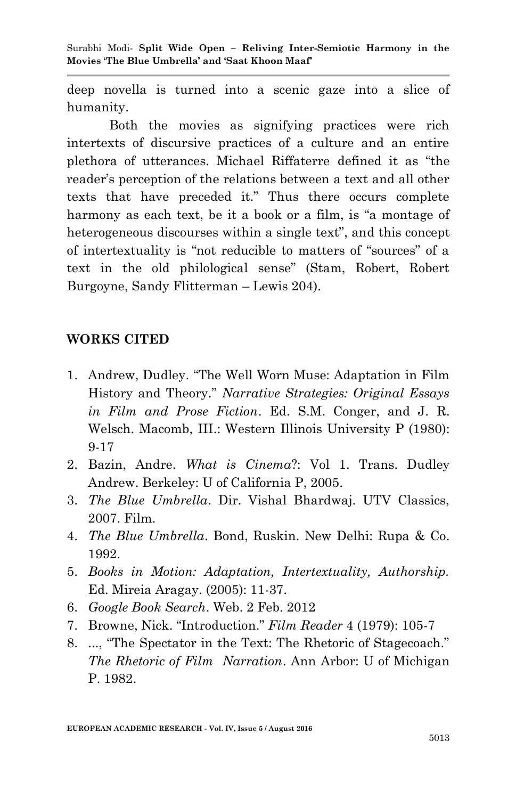deep novella is turned into a scenic gaze into a slice of humanity.

Both the movies as signifying practices were rich intertexts of discursive practices of a culture and an entire plethora of utterances. Michael Riffaterre defined it as "the reader"s perception of the relations between a text and all other texts that have preceded it." Thus there occurs complete harmony as each text, be it a book or a film, is "a montage of heterogeneous discourses within a single text", and this concept of intertextuality is "not reducible to matters of "sources" of a text in the old philological sense" (Stam, Robert, Robert Burgoyne, Sandy Flitterman – Lewis 204).

## **WORKS CITED**

- 1. Andrew, Dudley. "The Well Worn Muse: Adaptation in Film History and Theory." *Narrative Strategies: Original Essays in Film and Prose Fiction*. Ed. S.M. Conger, and J. R. Welsch. Macomb, III.: Western Illinois University P (1980): 9-17
- 2. Bazin, Andre. *What is Cinema*?: Vol 1. Trans. Dudley Andrew. Berkeley: U of California P, 2005.
- 3. *The Blue Umbrella*. Dir. Vishal Bhardwaj. UTV Classics, 2007. Film.
- 4. *The Blue Umbrella*. Bond, Ruskin. New Delhi: Rupa & Co. 1992.
- 5. *Books in Motion: Adaptation, Intertextuality, Authorship.*  Ed. Mireia Aragay. (2005): 11-37.
- 6. *Google Book Search*. Web. 2 Feb. 2012
- 7. Browne, Nick. "Introduction." *Film Reader* 4 (1979): 105-7
- 8. ..., "The Spectator in the Text: The Rhetoric of Stagecoach." *The Rhetoric of Film Narration*. Ann Arbor: U of Michigan P. 1982.